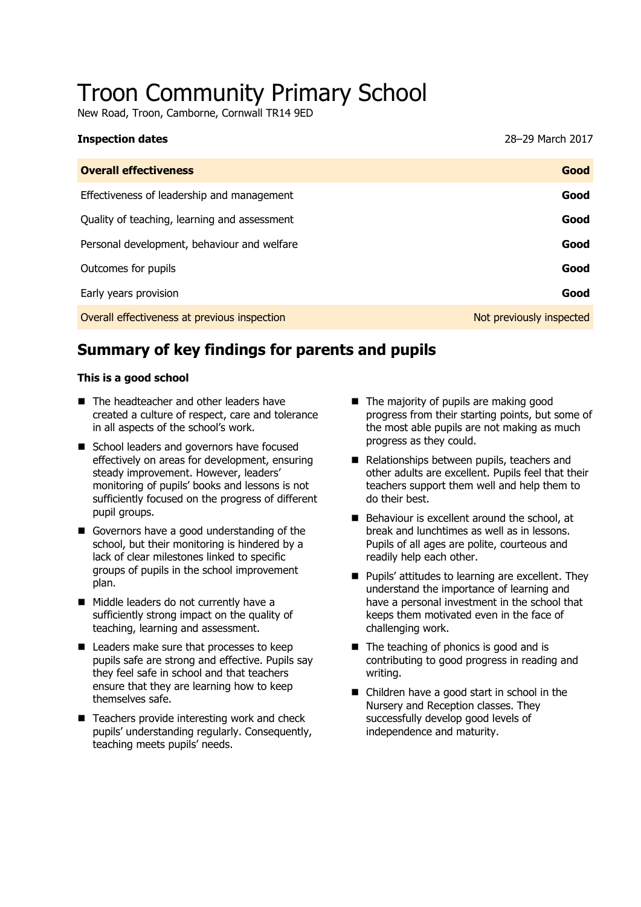# Troon Community Primary School

New Road, Troon, Camborne, Cornwall TR14 9ED

| <b>Inspection dates</b>                      | 28-29 March 2017         |
|----------------------------------------------|--------------------------|
| <b>Overall effectiveness</b>                 | Good                     |
| Effectiveness of leadership and management   | Good                     |
| Quality of teaching, learning and assessment | Good                     |
| Personal development, behaviour and welfare  | Good                     |
| Outcomes for pupils                          | Good                     |
| Early years provision                        | Good                     |
| Overall effectiveness at previous inspection | Not previously inspected |
|                                              |                          |

## **Summary of key findings for parents and pupils**

#### **This is a good school**

- The headteacher and other leaders have created a culture of respect, care and tolerance in all aspects of the school's work.
- School leaders and governors have focused effectively on areas for development, ensuring steady improvement. However, leaders' monitoring of pupils' books and lessons is not sufficiently focused on the progress of different pupil groups.
- Governors have a good understanding of the school, but their monitoring is hindered by a lack of clear milestones linked to specific groups of pupils in the school improvement plan.
- Middle leaders do not currently have a sufficiently strong impact on the quality of teaching, learning and assessment.
- Leaders make sure that processes to keep pupils safe are strong and effective. Pupils say they feel safe in school and that teachers ensure that they are learning how to keep themselves safe.
- $\blacksquare$  Teachers provide interesting work and check pupils' understanding regularly. Consequently, teaching meets pupils' needs.
- The majority of pupils are making good progress from their starting points, but some of the most able pupils are not making as much progress as they could.
- Relationships between pupils, teachers and other adults are excellent. Pupils feel that their teachers support them well and help them to do their best.
- Behaviour is excellent around the school, at break and lunchtimes as well as in lessons. Pupils of all ages are polite, courteous and readily help each other.
- **Pupils' attitudes to learning are excellent. They** understand the importance of learning and have a personal investment in the school that keeps them motivated even in the face of challenging work.
- The teaching of phonics is good and is contributing to good progress in reading and writing.
- Children have a good start in school in the Nursery and Reception classes. They successfully develop good levels of independence and maturity.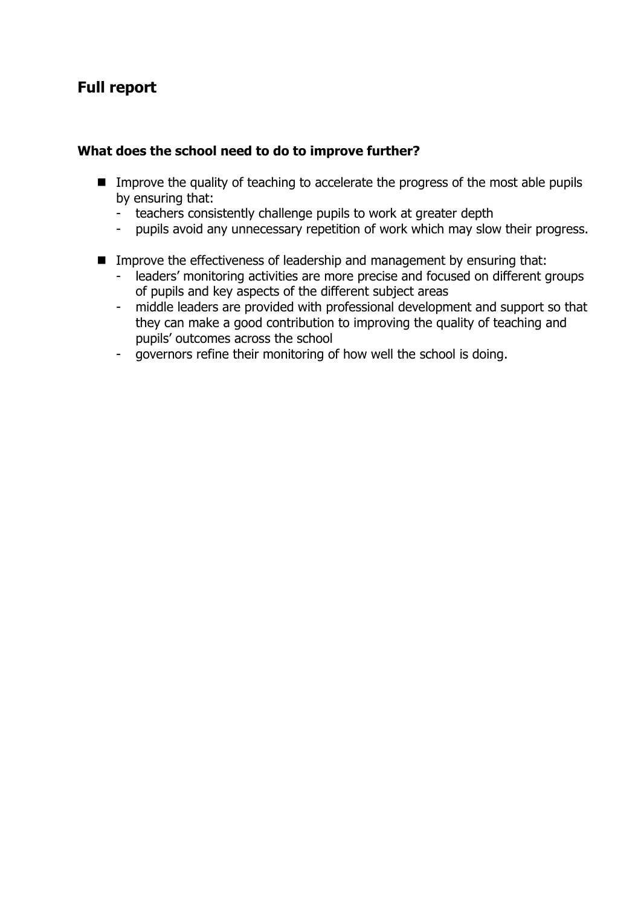## **Full report**

#### **What does the school need to do to improve further?**

- Improve the quality of teaching to accelerate the progress of the most able pupils by ensuring that:
	- teachers consistently challenge pupils to work at greater depth
	- pupils avoid any unnecessary repetition of work which may slow their progress.
- Improve the effectiveness of leadership and management by ensuring that:
	- leaders' monitoring activities are more precise and focused on different groups of pupils and key aspects of the different subject areas
	- middle leaders are provided with professional development and support so that they can make a good contribution to improving the quality of teaching and pupils' outcomes across the school
	- governors refine their monitoring of how well the school is doing.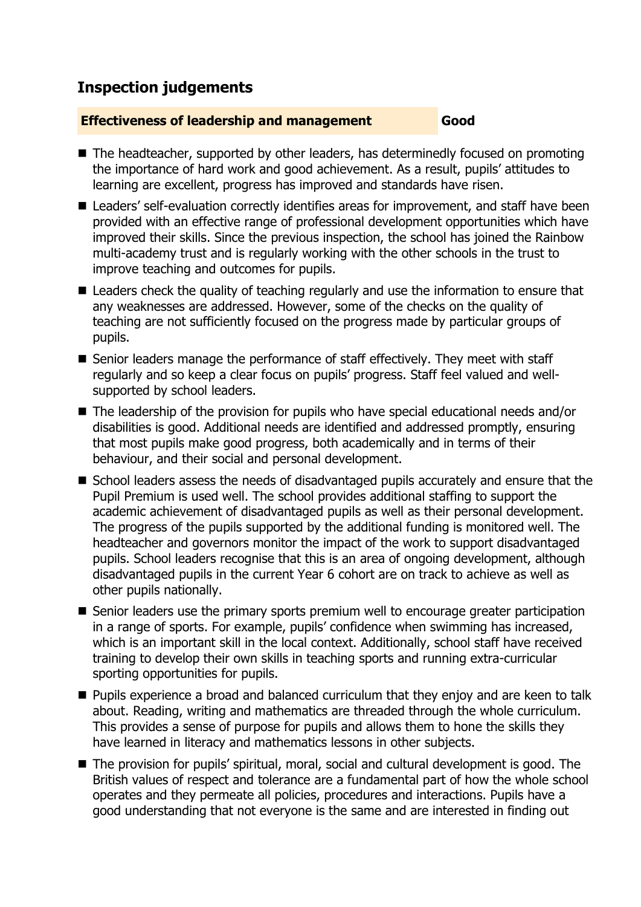## **Inspection judgements**

#### **Effectiveness of leadership and management Good**

- The headteacher, supported by other leaders, has determinedly focused on promoting the importance of hard work and good achievement. As a result, pupils' attitudes to learning are excellent, progress has improved and standards have risen.
- Leaders' self-evaluation correctly identifies areas for improvement, and staff have been provided with an effective range of professional development opportunities which have improved their skills. Since the previous inspection, the school has joined the Rainbow multi-academy trust and is regularly working with the other schools in the trust to improve teaching and outcomes for pupils.
- Leaders check the quality of teaching regularly and use the information to ensure that any weaknesses are addressed. However, some of the checks on the quality of teaching are not sufficiently focused on the progress made by particular groups of pupils.
- Senior leaders manage the performance of staff effectively. They meet with staff regularly and so keep a clear focus on pupils' progress. Staff feel valued and wellsupported by school leaders.
- The leadership of the provision for pupils who have special educational needs and/or disabilities is good. Additional needs are identified and addressed promptly, ensuring that most pupils make good progress, both academically and in terms of their behaviour, and their social and personal development.
- School leaders assess the needs of disadvantaged pupils accurately and ensure that the Pupil Premium is used well. The school provides additional staffing to support the academic achievement of disadvantaged pupils as well as their personal development. The progress of the pupils supported by the additional funding is monitored well. The headteacher and governors monitor the impact of the work to support disadvantaged pupils. School leaders recognise that this is an area of ongoing development, although disadvantaged pupils in the current Year 6 cohort are on track to achieve as well as other pupils nationally.
- Senior leaders use the primary sports premium well to encourage greater participation in a range of sports. For example, pupils' confidence when swimming has increased, which is an important skill in the local context. Additionally, school staff have received training to develop their own skills in teaching sports and running extra-curricular sporting opportunities for pupils.
- **Pupils experience a broad and balanced curriculum that they enjoy and are keen to talk** about. Reading, writing and mathematics are threaded through the whole curriculum. This provides a sense of purpose for pupils and allows them to hone the skills they have learned in literacy and mathematics lessons in other subjects.
- The provision for pupils' spiritual, moral, social and cultural development is good. The British values of respect and tolerance are a fundamental part of how the whole school operates and they permeate all policies, procedures and interactions. Pupils have a good understanding that not everyone is the same and are interested in finding out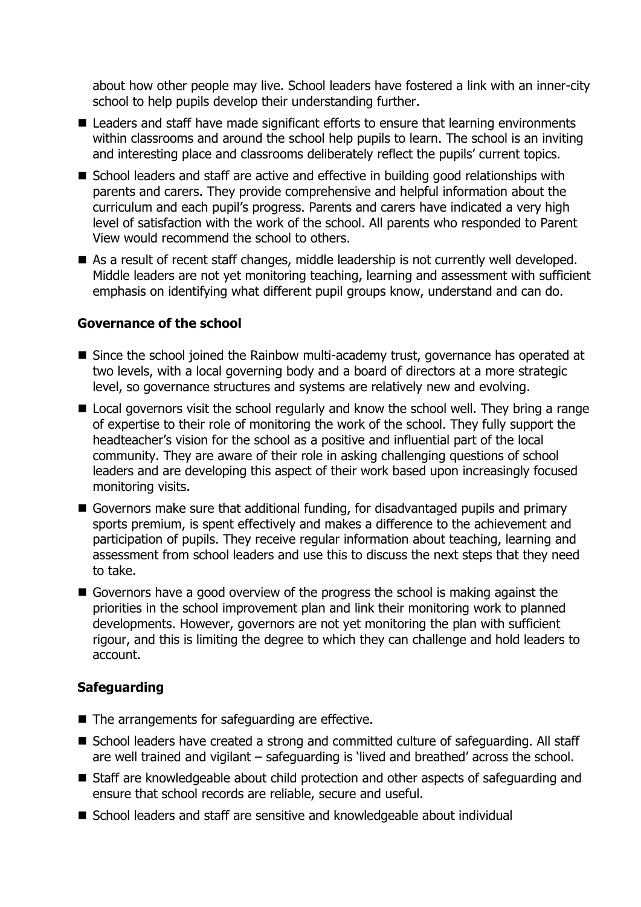about how other people may live. School leaders have fostered a link with an inner-city school to help pupils develop their understanding further.

- Leaders and staff have made significant efforts to ensure that learning environments within classrooms and around the school help pupils to learn. The school is an inviting and interesting place and classrooms deliberately reflect the pupils' current topics.
- School leaders and staff are active and effective in building good relationships with parents and carers. They provide comprehensive and helpful information about the curriculum and each pupil's progress. Parents and carers have indicated a very high level of satisfaction with the work of the school. All parents who responded to Parent View would recommend the school to others.
- As a result of recent staff changes, middle leadership is not currently well developed. Middle leaders are not yet monitoring teaching, learning and assessment with sufficient emphasis on identifying what different pupil groups know, understand and can do.

### **Governance of the school**

- Since the school joined the Rainbow multi-academy trust, governance has operated at two levels, with a local governing body and a board of directors at a more strategic level, so governance structures and systems are relatively new and evolving.
- Local governors visit the school regularly and know the school well. They bring a range of expertise to their role of monitoring the work of the school. They fully support the headteacher's vision for the school as a positive and influential part of the local community. They are aware of their role in asking challenging questions of school leaders and are developing this aspect of their work based upon increasingly focused monitoring visits.
- Governors make sure that additional funding, for disadvantaged pupils and primary sports premium, is spent effectively and makes a difference to the achievement and participation of pupils. They receive regular information about teaching, learning and assessment from school leaders and use this to discuss the next steps that they need to take.
- Governors have a good overview of the progress the school is making against the priorities in the school improvement plan and link their monitoring work to planned developments. However, governors are not yet monitoring the plan with sufficient rigour, and this is limiting the degree to which they can challenge and hold leaders to account.

### **Safeguarding**

- The arrangements for safeguarding are effective.
- School leaders have created a strong and committed culture of safeguarding. All staff are well trained and vigilant – safeguarding is 'lived and breathed' across the school.
- Staff are knowledgeable about child protection and other aspects of safeguarding and ensure that school records are reliable, secure and useful.
- School leaders and staff are sensitive and knowledgeable about individual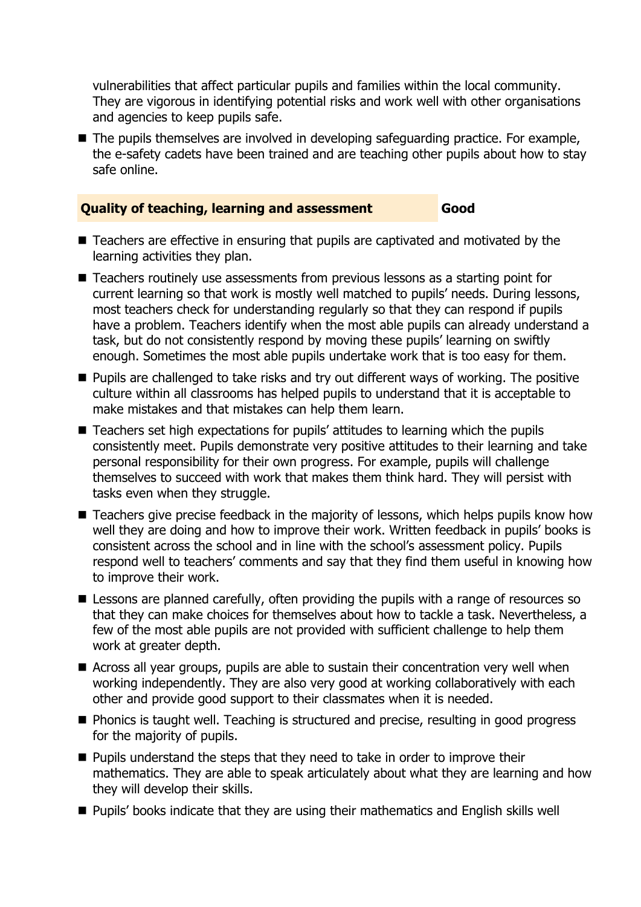vulnerabilities that affect particular pupils and families within the local community. They are vigorous in identifying potential risks and work well with other organisations and agencies to keep pupils safe.

 $\blacksquare$  The pupils themselves are involved in developing safeguarding practice. For example, the e-safety cadets have been trained and are teaching other pupils about how to stay safe online.

#### **Quality of teaching, learning and assessment Good**

- Teachers are effective in ensuring that pupils are captivated and motivated by the learning activities they plan.
- Teachers routinely use assessments from previous lessons as a starting point for current learning so that work is mostly well matched to pupils' needs. During lessons, most teachers check for understanding regularly so that they can respond if pupils have a problem. Teachers identify when the most able pupils can already understand a task, but do not consistently respond by moving these pupils' learning on swiftly enough. Sometimes the most able pupils undertake work that is too easy for them.
- **Pupils are challenged to take risks and try out different ways of working. The positive** culture within all classrooms has helped pupils to understand that it is acceptable to make mistakes and that mistakes can help them learn.
- Teachers set high expectations for pupils' attitudes to learning which the pupils consistently meet. Pupils demonstrate very positive attitudes to their learning and take personal responsibility for their own progress. For example, pupils will challenge themselves to succeed with work that makes them think hard. They will persist with tasks even when they struggle.
- Teachers give precise feedback in the majority of lessons, which helps pupils know how well they are doing and how to improve their work. Written feedback in pupils' books is consistent across the school and in line with the school's assessment policy. Pupils respond well to teachers' comments and say that they find them useful in knowing how to improve their work.
- **E** Lessons are planned carefully, often providing the pupils with a range of resources so that they can make choices for themselves about how to tackle a task. Nevertheless, a few of the most able pupils are not provided with sufficient challenge to help them work at greater depth.
- Across all year groups, pupils are able to sustain their concentration very well when working independently. They are also very good at working collaboratively with each other and provide good support to their classmates when it is needed.
- Phonics is taught well. Teaching is structured and precise, resulting in good progress for the majority of pupils.
- **Pupils understand the steps that they need to take in order to improve their** mathematics. They are able to speak articulately about what they are learning and how they will develop their skills.
- Pupils' books indicate that they are using their mathematics and English skills well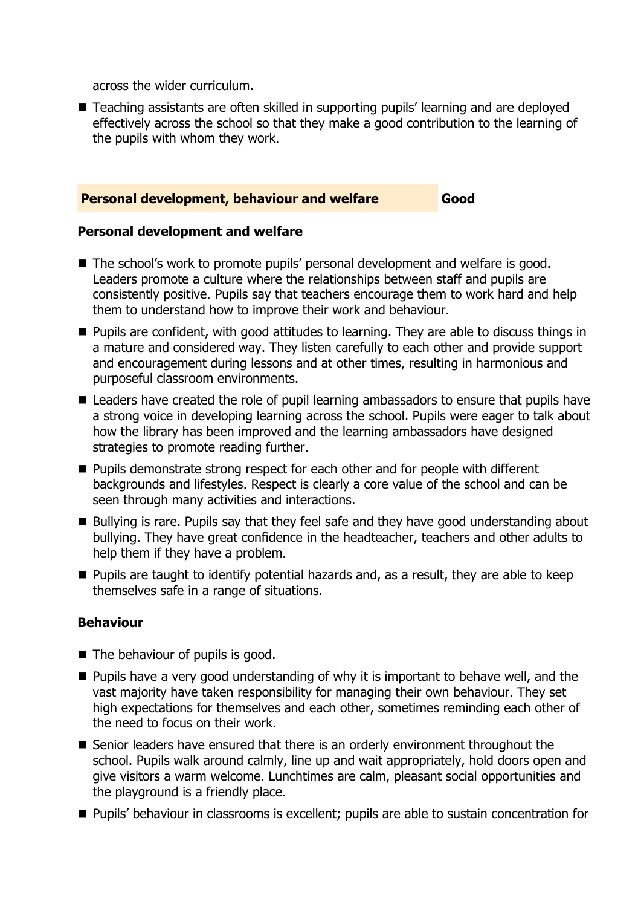across the wider curriculum.

■ Teaching assistants are often skilled in supporting pupils' learning and are deployed effectively across the school so that they make a good contribution to the learning of the pupils with whom they work.

#### **Personal development, behaviour and welfare Good**

#### **Personal development and welfare**

- The school's work to promote pupils' personal development and welfare is good. Leaders promote a culture where the relationships between staff and pupils are consistently positive. Pupils say that teachers encourage them to work hard and help them to understand how to improve their work and behaviour.
- **Pupils are confident, with good attitudes to learning. They are able to discuss things in** a mature and considered way. They listen carefully to each other and provide support and encouragement during lessons and at other times, resulting in harmonious and purposeful classroom environments.
- Leaders have created the role of pupil learning ambassadors to ensure that pupils have a strong voice in developing learning across the school. Pupils were eager to talk about how the library has been improved and the learning ambassadors have designed strategies to promote reading further.
- Pupils demonstrate strong respect for each other and for people with different backgrounds and lifestyles. Respect is clearly a core value of the school and can be seen through many activities and interactions.
- Bullying is rare. Pupils say that they feel safe and they have good understanding about bullying. They have great confidence in the headteacher, teachers and other adults to help them if they have a problem.
- **Pupils are taught to identify potential hazards and, as a result, they are able to keep** themselves safe in a range of situations.

### **Behaviour**

- The behaviour of pupils is good.
- $\blacksquare$  Pupils have a very good understanding of why it is important to behave well, and the vast majority have taken responsibility for managing their own behaviour. They set high expectations for themselves and each other, sometimes reminding each other of the need to focus on their work.
- Senior leaders have ensured that there is an orderly environment throughout the school. Pupils walk around calmly, line up and wait appropriately, hold doors open and give visitors a warm welcome. Lunchtimes are calm, pleasant social opportunities and the playground is a friendly place.
- Pupils' behaviour in classrooms is excellent; pupils are able to sustain concentration for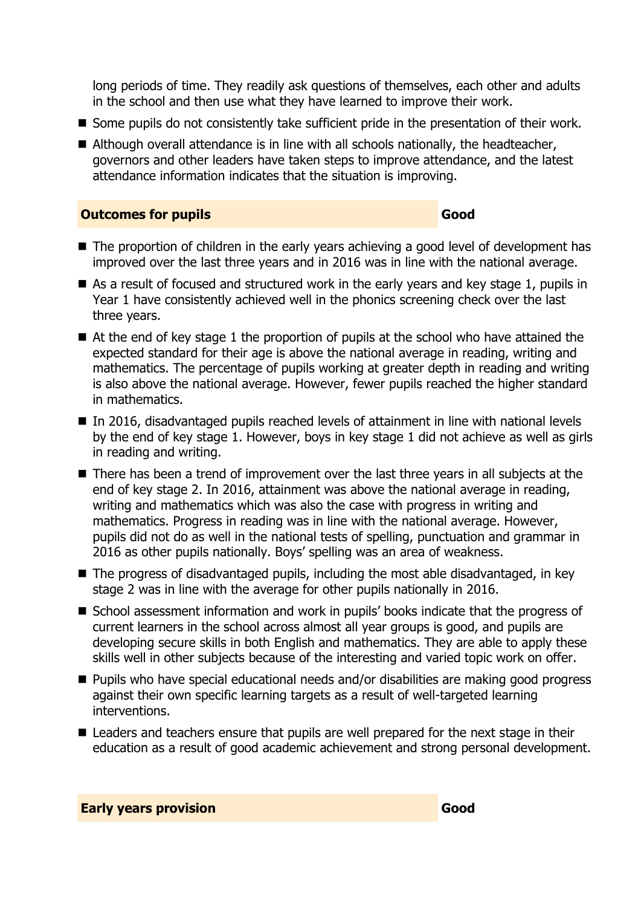long periods of time. They readily ask questions of themselves, each other and adults in the school and then use what they have learned to improve their work.

- Some pupils do not consistently take sufficient pride in the presentation of their work.
- Although overall attendance is in line with all schools nationally, the headteacher, governors and other leaders have taken steps to improve attendance, and the latest attendance information indicates that the situation is improving.

#### **Outcomes for pupils Good**

- The proportion of children in the early years achieving a good level of development has improved over the last three years and in 2016 was in line with the national average.
- As a result of focused and structured work in the early years and key stage 1, pupils in Year 1 have consistently achieved well in the phonics screening check over the last three years.
- At the end of key stage 1 the proportion of pupils at the school who have attained the expected standard for their age is above the national average in reading, writing and mathematics. The percentage of pupils working at greater depth in reading and writing is also above the national average. However, fewer pupils reached the higher standard in mathematics.
- In 2016, disadvantaged pupils reached levels of attainment in line with national levels by the end of key stage 1. However, boys in key stage 1 did not achieve as well as girls in reading and writing.
- There has been a trend of improvement over the last three years in all subjects at the end of key stage 2. In 2016, attainment was above the national average in reading, writing and mathematics which was also the case with progress in writing and mathematics. Progress in reading was in line with the national average. However, pupils did not do as well in the national tests of spelling, punctuation and grammar in 2016 as other pupils nationally. Boys' spelling was an area of weakness.
- The progress of disadvantaged pupils, including the most able disadvantaged, in key stage 2 was in line with the average for other pupils nationally in 2016.
- School assessment information and work in pupils' books indicate that the progress of current learners in the school across almost all year groups is good, and pupils are developing secure skills in both English and mathematics. They are able to apply these skills well in other subjects because of the interesting and varied topic work on offer.
- Pupils who have special educational needs and/or disabilities are making good progress against their own specific learning targets as a result of well-targeted learning interventions.
- Leaders and teachers ensure that pupils are well prepared for the next stage in their education as a result of good academic achievement and strong personal development.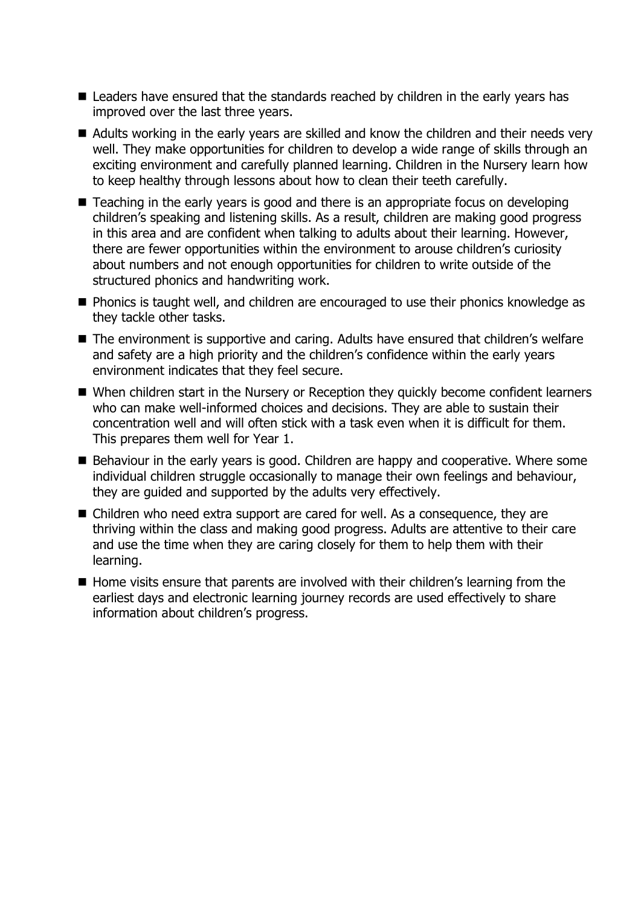- Leaders have ensured that the standards reached by children in the early years has improved over the last three years.
- Adults working in the early years are skilled and know the children and their needs very well. They make opportunities for children to develop a wide range of skills through an exciting environment and carefully planned learning. Children in the Nursery learn how to keep healthy through lessons about how to clean their teeth carefully.
- Teaching in the early years is good and there is an appropriate focus on developing children's speaking and listening skills. As a result, children are making good progress in this area and are confident when talking to adults about their learning. However, there are fewer opportunities within the environment to arouse children's curiosity about numbers and not enough opportunities for children to write outside of the structured phonics and handwriting work.
- Phonics is taught well, and children are encouraged to use their phonics knowledge as they tackle other tasks.
- The environment is supportive and caring. Adults have ensured that children's welfare and safety are a high priority and the children's confidence within the early years environment indicates that they feel secure.
- When children start in the Nursery or Reception they quickly become confident learners who can make well-informed choices and decisions. They are able to sustain their concentration well and will often stick with a task even when it is difficult for them. This prepares them well for Year 1.
- Behaviour in the early years is good. Children are happy and cooperative. Where some individual children struggle occasionally to manage their own feelings and behaviour, they are guided and supported by the adults very effectively.
- Children who need extra support are cared for well. As a consequence, they are thriving within the class and making good progress. Adults are attentive to their care and use the time when they are caring closely for them to help them with their learning.
- Home visits ensure that parents are involved with their children's learning from the earliest days and electronic learning journey records are used effectively to share information about children's progress.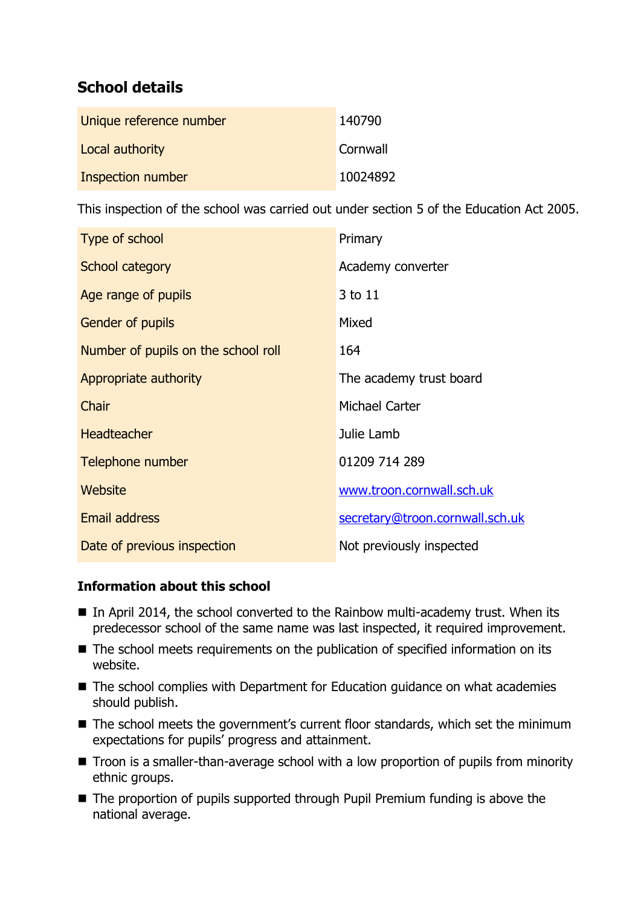## **School details**

| Unique reference number | 140790   |
|-------------------------|----------|
| Local authority         | Cornwall |
| Inspection number       | 10024892 |

This inspection of the school was carried out under section 5 of the Education Act 2005.

| Type of school                      | Primary                         |
|-------------------------------------|---------------------------------|
| School category                     | Academy converter               |
| Age range of pupils                 | 3 to 11                         |
| Gender of pupils                    | Mixed                           |
| Number of pupils on the school roll | 164                             |
| Appropriate authority               | The academy trust board         |
| Chair                               | Michael Carter                  |
| <b>Headteacher</b>                  | Julie Lamb                      |
| Telephone number                    | 01209 714 289                   |
| Website                             | www.troon.cornwall.sch.uk       |
| <b>Email address</b>                | secretary@troon.cornwall.sch.uk |
| Date of previous inspection         | Not previously inspected        |

### **Information about this school**

- In April 2014, the school converted to the Rainbow multi-academy trust. When its predecessor school of the same name was last inspected, it required improvement.
- The school meets requirements on the publication of specified information on its website.
- The school complies with Department for Education guidance on what academies should publish.
- The school meets the government's current floor standards, which set the minimum expectations for pupils' progress and attainment.
- Troon is a smaller-than-average school with a low proportion of pupils from minority ethnic groups.
- The proportion of pupils supported through Pupil Premium funding is above the national average.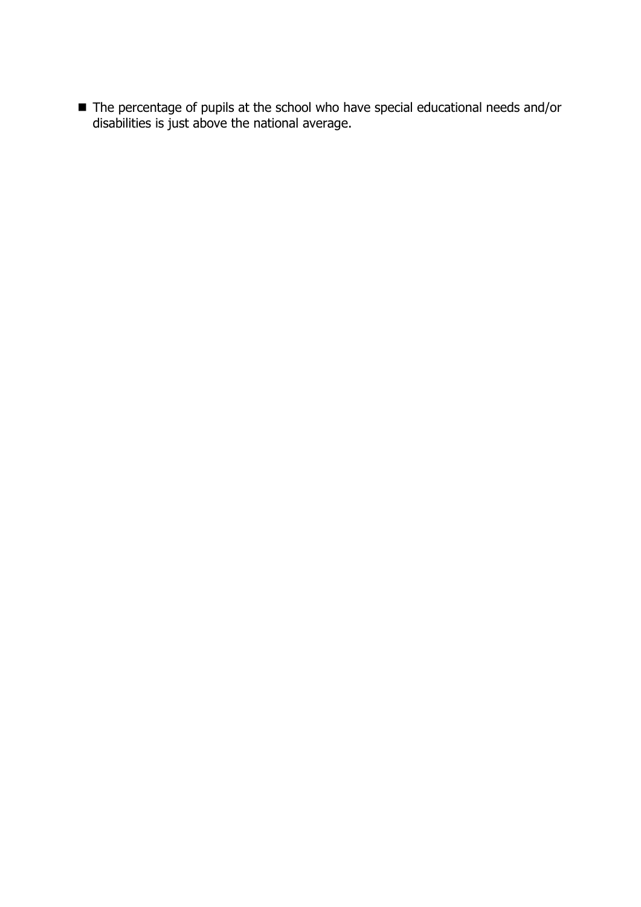■ The percentage of pupils at the school who have special educational needs and/or disabilities is just above the national average.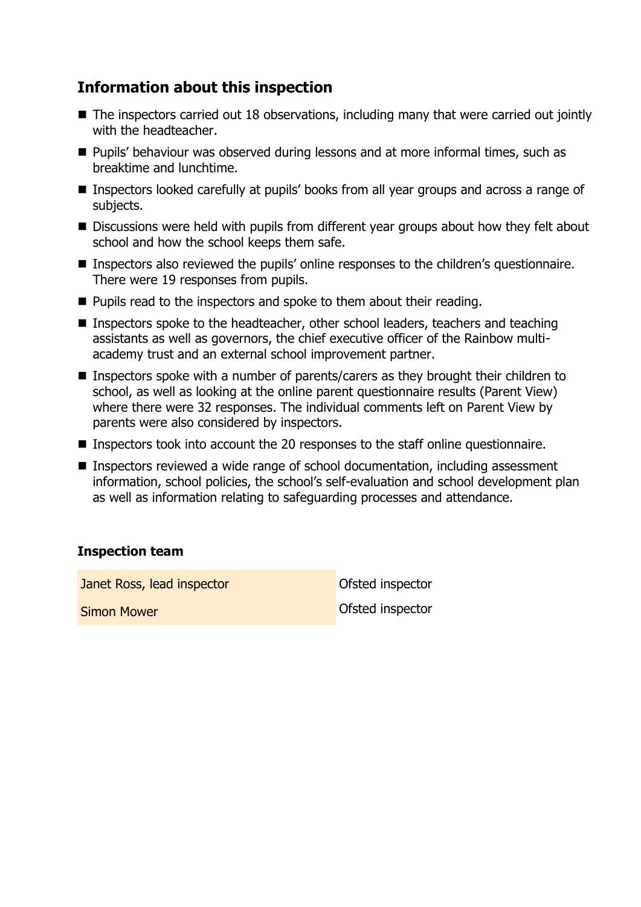## **Information about this inspection**

- The inspectors carried out 18 observations, including many that were carried out jointly with the headteacher.
- **Pupils' behaviour was observed during lessons and at more informal times, such as** breaktime and lunchtime.
- Inspectors looked carefully at pupils' books from all year groups and across a range of subjects.
- Discussions were held with pupils from different year groups about how they felt about school and how the school keeps them safe.
- Inspectors also reviewed the pupils' online responses to the children's questionnaire. There were 19 responses from pupils.
- **Pupils read to the inspectors and spoke to them about their reading.**
- Inspectors spoke to the headteacher, other school leaders, teachers and teaching assistants as well as governors, the chief executive officer of the Rainbow multiacademy trust and an external school improvement partner.
- Inspectors spoke with a number of parents/carers as they brought their children to school, as well as looking at the online parent questionnaire results (Parent View) where there were 32 responses. The individual comments left on Parent View by parents were also considered by inspectors.
- Inspectors took into account the 20 responses to the staff online questionnaire.
- Inspectors reviewed a wide range of school documentation, including assessment information, school policies, the school's self-evaluation and school development plan as well as information relating to safeguarding processes and attendance.

### **Inspection team**

**Janet Ross, lead inspector Constanting Constanting Constanting Constanting Constanting Constanting Constanting Constanting Constanting Constanting Constanting Constanting Constanting Constanting Constanting Constanting** 

**Simon Mower Contract in the Contract of Contract Contract of Contract Ofsted inspector**